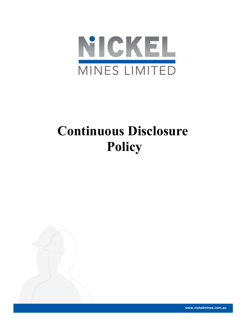

# Continuous Disclosure Policy



www.nickelmines.com.au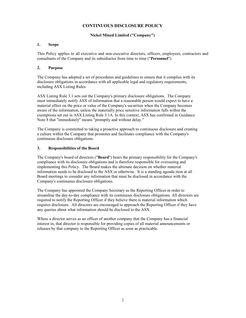# CONTINUOUS DISCLOSURE POLICY

# Nickel Mined Limited ("Company")

## 1. Scope

This Policy applies to all executive and non-executive directors, officers, employees, contractors and consultants of the Company and its subsidiaries from time to time ("Personnel").

# 2. Purpose

The Company has adopted a set of procedures and guidelines to ensure that it complies with its disclosure obligations in accordance with all applicable legal and regulatory requirements, including ASX Listing Rules.

ASX Listing Rule 3.1 sets out the Company's primary disclosure obligations. The Company must immediately notify ASX of information that a reasonable person would expect to have a material effect on the price or value of the Company's securities when the Company becomes aware of the information, unless the materially price sensitive information falls within the exemptions set out in ASX Listing Rule 3.1A. In this context, ASX has confirmed in Guidance Note 8 that "immediately" means "promptly and without delay."

The Company is committed to taking a proactive approach to continuous disclosure and creating a culture within the Company that promotes and facilitates compliance with the Company's continuous disclosure obligations.

# 3. Responsibilities of the Board

The Company's board of directors ("Board") bears the primary responsibility for the Company's compliance with its disclosure obligations and is therefore responsible for overseeing and implementing this Policy. The Board makes the ultimate decision on whether material information needs to be disclosed to the ASX or otherwise. It is a standing agenda item at all Board meetings to consider any information that must be disclosed in accordance with the Company's continuous disclosure obligations.

The Company has appointed the Company Secretary as the Reporting Officer in order to streamline the day-to-day compliance with its continuous disclosure obligations. All directors are required to notify the Reporting Officer if they believe there is material information which requires disclosure. All directors are encouraged to approach the Reporting Officer if they have any queries about what information should be disclosed to the ASX.

Where a director serves as an officer of another company that the Company has a financial interest in, that director is responsible for providing copies of all material announcements or releases by that company to the Reporting Officer as soon as practicable.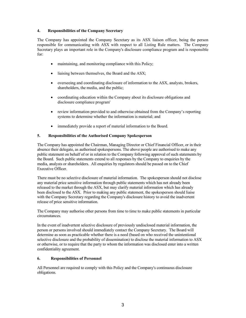# 4. Responsibilities of the Company Secretary

The Company has appointed the Company Secretary as its ASX liaison officer, being the person responsible for communicating with ASX with respect to all Listing Rule matters. The Company Secretary plays an important role in the Company's disclosure compliance program and is responsible for:

- maintaining, and monitoring compliance with this Policy;
- liaising between themselves, the Board and the ASX;
- overseeing and coordinating disclosure of information to the ASX, analysts, brokers, shareholders, the media, and the public;
- coordinating education within the Company about its disclosure obligations and disclosure compliance program'
- review information provided to and otherwise obtained from the Company's reporting systems to determine whether the information is material; and
- immediately provide a report of material information to the Board.

## 5. Responsibilities of the Authorised Company Spokesperson

The Company has appointed the Chairman, Managing Director or Chief Financial Officer, or in their absence their delegate, as authorised spokespersons. The above people are authorised to make any public statement on behalf of or in relation to the Company following approval of such statements by the Board. Such public statements extend to all responses by the Company to enquiries by the media, analysts or shareholders. All enquiries by regulators should be passed on to the Chief Executive Officer.

There must be no selective disclosure of material information. The spokesperson should not disclose any material price sensitive information through public statements which has not already been released to the market through the ASX, but may clarify material information which has already been disclosed to the ASX. Prior to making any public statement, the spokesperson should liaise with the Company Secretary regarding the Company's disclosure history to avoid the inadvertent release of price sensitive information.

The Company may authorise other persons from time to time to make public statements in particular circumstances.

In the event of inadvertent selective disclosure of previously undisclosed material information, the person or persons involved should immediately contact the Company Secretary. The Board will determine as soon as practicable whether there is a need (based on who received the unintentional selective disclosure and the probability of dissemination) to disclose the material information to ASX or otherwise, or to require that the party to whom the information was disclosed enter into a written confidentiality agreement.

## 6. Responsibilities of Personnel

All Personnel are required to comply with this Policy and the Company's continuous disclosure obligations.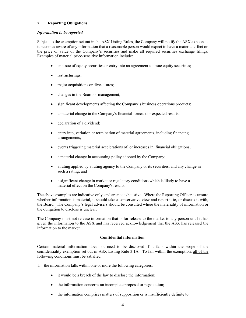# 7. Reporting Obligations

#### Information to be reported

Subject to the exemption set out in the ASX Listing Rules, the Company will notify the ASX as soon as it becomes aware of any information that a reasonable person would expect to have a material effect on the price or value of the Company's securities and make all required securities exchange filings. Examples of material price-sensitive information include:

- an issue of equity securities or entry into an agreement to issue equity securities;
- restructurings;
- major acquisitions or divestitures;
- changes in the Board or management;
- significant developments affecting the Company's business operations products;
- a material change in the Company's financial forecast or expected results;
- declaration of a dividend;
- entry into, variation or termination of material agreements, including financing arrangements;
- events triggering material accelerations of, or increases in, financial obligations;
- a material change in accounting policy adopted by the Company;
- a rating applied by a rating agency to the Company or its securities, and any change in such a rating; and
- a significant change in market or regulatory conditions which is likely to have a material effect on the Company's results.

The above examples are indicative only, and are not exhaustive. Where the Reporting Officer is unsure whether information is material, it should take a conservative view and report it to, or discuss it with, the Board. The Company's legal advisers should be consulted where the materiality of information or the obligation to disclose is unclear.

The Company must not release information that is for release to the market to any person until it has given the information to the ASX and has received acknowledgement that the ASX has released the information to the market.

## Confidential information

Certain material information does not need to be disclosed if it falls within the scope of the confidentiality exemption set out in ASX Listing Rule 3.1A. To fall within the exemption, all of the following conditions must be satisfied:

- 1. the information falls within one or more the following categories:
	- it would be a breach of the law to disclose the information;
	- the information concerns an incomplete proposal or negotiation;
	- the information comprises matters of supposition or is insufficiently definite to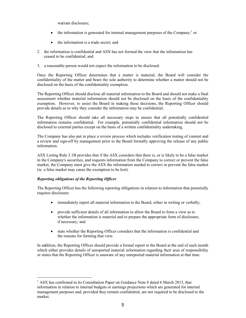warrant disclosure;

- $\bullet$  the information is generated for internal management purposes of the Company;  $\circ$  or
- the information is a trade secret; and
- 2. the information is confidential and ASX has not formed the view that the information has ceased to be confidential; and
- 3. a reasonable person would not expect the information to be disclosed.

Once the Reporting Officer determines that a matter is material, the Board will consider the confidentiality of the matter and bears the sole authority to determine whether a matter should not be disclosed on the basis of the confidentiality exemption.

The Reporting Officer should disclose all material information to the Board and should not make a final assessment whether material information should not be disclosed on the basis of the confidentiality exemption. However, to assist the Board in making these decisions, the Reporting Officer should provide details as to why they consider the information may be confidential.

The Reporting Officer should take all necessary steps to ensure that all potentially confidential information remains confidential. For example, potentially confidential information should not be disclosed to external parties except on the basis of a written confidentiality undertaking.

The Company has also put in place a review process which includes verification testing of content and a review and sign-off by management prior to the Board formally approving the release of any public information.

ASX Listing Rule 3.1B provides that if the ASX considers that there is, or is likely to be a false market in the Company's securities, and requests information from the Company to correct or prevent the false market, the Company must give the ASX the information needed to correct or prevent the false market (ie. a false market may cause the exemption to be lost).

# Reporting obligations of the Reporting Officer

-

The Reporting Officer has the following reporting obligations in relation to information that potentially requires disclosure:

- immediately report all material information to the Board, either in writing or verbally;
- provide sufficient details of all information to allow the Board to form a view as to whether the information is material and to prepare the appropriate form of disclosure, if necessary; and
- state whether the Reporting Officer considers that the information is confidential and the reasons for forming that view.

In addition, the Reporting Officer should provide a formal report to the Board at the end of each month which either provides details of unreported material information regarding their area of responsibility or states that the Reporting Officer is unaware of any unreported material information at that time.

<sup>&</sup>lt;sup>1</sup> ASX has confirmed in its Consultation Paper on Guidance Note 8 dated 6 March 2015, that information in relation to internal budgets or earnings projections which are generated for internal management purposes and, provided they remain confidential, are not required to be disclosed to the market.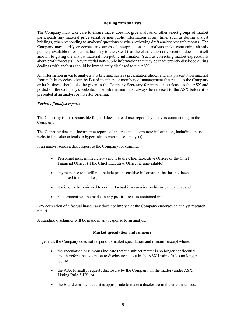# Dealing with analysts

The Company must take care to ensure that it does not give analysts or other select groups of market participants any material price sensitive non-public information at any time, such as during analyst briefings, when responding to analysts' questions or when reviewing draft analyst research reports. The Company may clarify or correct any errors of interpretation that analysts make concerning already publicly available information, but only to the extent that the clarification or correction does not itself amount to giving the analyst material non-public information (such as correcting market expectations about profit forecasts). Any material non-public information that may be inadvertently disclosed during dealings with analysts should be immediately disclosed to the ASX.

All information given to analysts at a briefing, such as presentation slides, and any presentation material from public speeches given by Board members or members of management that relate to the Company or its business should also be given to the Company Secretary for immediate release to the ASX and posted on the Company's website. The information must always be released to the ASX before it is presented at an analyst or investor briefing.

## Review of analyst reports

The Company is not responsible for, and does not endorse, reports by analysts commenting on the Company.

The Company does not incorporate reports of analysts in its corporate information, including on its website (this also extends to hyperlinks to websites of analysts).

If an analyst sends a draft report to the Company for comment:

- Personnel must immediately send it to the Chief Executive Officer or the Chief Financial Officer (if the Chief Executive Officer is unavailable);
- any response to it will not include price-sensitive information that has not been disclosed to the market;
- it will only be reviewed to correct factual inaccuracies on historical matters; and
- no comment will be made on any profit forecasts contained in it.

Any correction of a factual inaccuracy does not imply that the Company endorses an analyst research report.

A standard disclaimer will be made in any response to an analyst.

#### Market speculation and rumours

In general, the Company does not respond to market speculation and rumours except where:

- the speculation or rumours indicate that the subject matter is no longer confidential and therefore the exception to disclosure set out in the ASX Listing Rules no longer applies;
- the ASX formally requests disclosure by the Company on the matter (under ASX) Listing Rule 3.1B); or
- the Board considers that it is appropriate to make a disclosure in the circumstances.